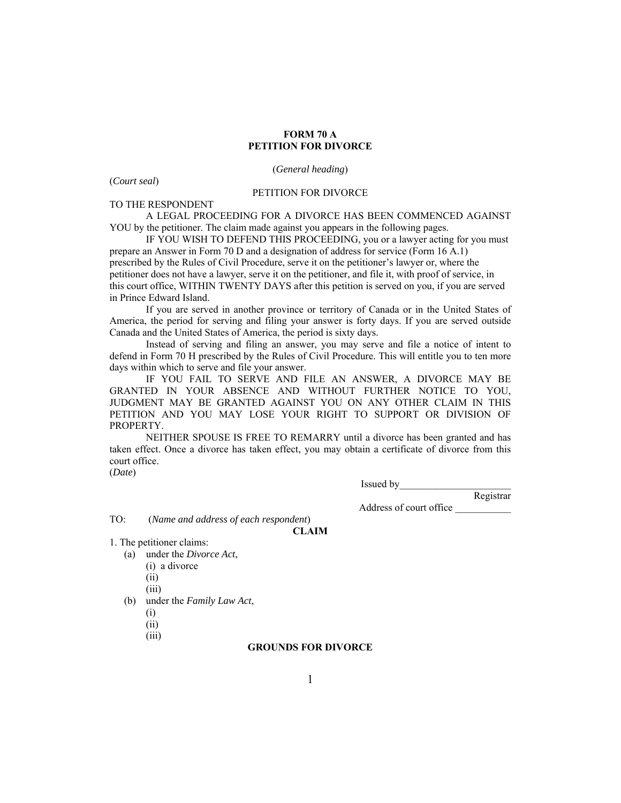# **FORM 70 A PETITION FOR DIVORCE**

(*General heading*)

(*Court seal*)

### PETITION FOR DIVORCE

TO THE RESPONDENT

A LEGAL PROCEEDING FOR A DIVORCE HAS BEEN COMMENCED AGAINST YOU by the petitioner. The claim made against you appears in the following pages.

IF YOU WISH TO DEFEND THIS PROCEEDING, you or a lawyer acting for you must prepare an Answer in Form 70 D and a designation of address for service (Form 16 A.1) prescribed by the Rules of Civil Procedure, serve it on the petitioner's lawyer or, where the petitioner does not have a lawyer, serve it on the petitioner, and file it, with proof of service, in this court office, WITHIN TWENTY DAYS after this petition is served on you, if you are served in Prince Edward Island.

If you are served in another province or territory of Canada or in the United States of America, the period for serving and filing your answer is forty days. If you are served outside Canada and the United States of America, the period is sixty days.

Instead of serving and filing an answer, you may serve and file a notice of intent to defend in Form 70 H prescribed by the Rules of Civil Procedure. This will entitle you to ten more days within which to serve and file your answer.

IF YOU FAIL TO SERVE AND FILE AN ANSWER, A DIVORCE MAY BE GRANTED IN YOUR ABSENCE AND WITHOUT FURTHER NOTICE TO YOU, JUDGMENT MAY BE GRANTED AGAINST YOU ON ANY OTHER CLAIM IN THIS PETITION AND YOU MAY LOSE YOUR RIGHT TO SUPPORT OR DIVISION OF PROPERTY.

NEITHER SPOUSE IS FREE TO REMARRY until a divorce has been granted and has taken effect. Once a divorce has taken effect, you may obtain a certificate of divorce from this court office.

(*Date*)

Issued by\_\_\_\_\_\_\_\_\_\_\_\_\_\_\_\_\_\_\_\_\_\_

Address of court office \_\_\_\_\_\_\_\_\_\_\_

Registrar

TO: (*Name and address of each respondent*)

**CLAIM** 

1. The petitioner claims:

- (a) under the *Divorce Act*,
	- (i) a divorce
	- (ii)
	- (iii)
- (b) under the *Family Law Act*,
	- (i)
	- (ii)
	- (iii)

### **GROUNDS FOR DIVORCE**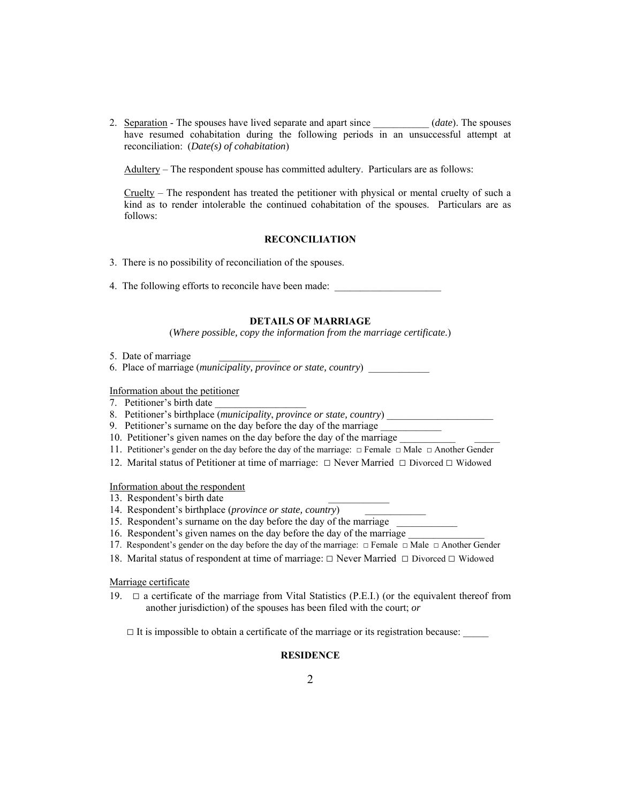2. Separation - The spouses have lived separate and apart since \_\_\_\_\_\_\_\_\_\_\_ (*date*). The spouses have resumed cohabitation during the following periods in an unsuccessful attempt at reconciliation: (*Date(s) of cohabitation*)

Adultery – The respondent spouse has committed adultery. Particulars are as follows:

Cruelty – The respondent has treated the petitioner with physical or mental cruelty of such a kind as to render intolerable the continued cohabitation of the spouses. Particulars are as follows:

### **RECONCILIATION**

- 3. There is no possibility of reconciliation of the spouses.
- 4. The following efforts to reconcile have been made:

## **DETAILS OF MARRIAGE**

(*Where possible, copy the information from the marriage certificate.*)

- 5. Date of marriage
- 6. Place of marriage (*municipality, province or state, country*) \_\_\_\_\_\_\_\_\_\_\_\_

Information about the petitioner

- 7. Petitioner's birth date
- 8. Petitioner's birthplace (*municipality*, *province or state, country*) \_\_\_\_\_\_\_\_\_\_\_\_\_\_\_\_\_\_\_\_\_
- 9. Petitioner's surname on the day before the day of the marriage
- 10. Petitioner's given names on the day before the day of the marriage
- 11. Petitioner's gender on the day before the day of the marriage:  $\Box$  Female  $\Box$  Male  $\Box$  Another Gender
- 12. Marital status of Petitioner at time of marriage: □ Never Married □ Divorced □ Widowed

Information about the respondent

- 13. Respondent's birth date
- 14. Respondent's birthplace (*province or state, country*)
- 15. Respondent's surname on the day before the day of the marriage

16. Respondent's given names on the day before the day of the marriage

- 17. Respondent's gender on the day before the day of the marriage: □ Female □ Male □ Another Gender
- 18. Marital status of respondent at time of marriage: □ Never Married □ Divorced □ Widowed

Marriage certificate

19.  $\Box$  a certificate of the marriage from Vital Statistics (P.E.I.) (or the equivalent thereof from another jurisdiction) of the spouses has been filed with the court; *or*

 $\Box$  It is impossible to obtain a certificate of the marriage or its registration because:

## **RESIDENCE**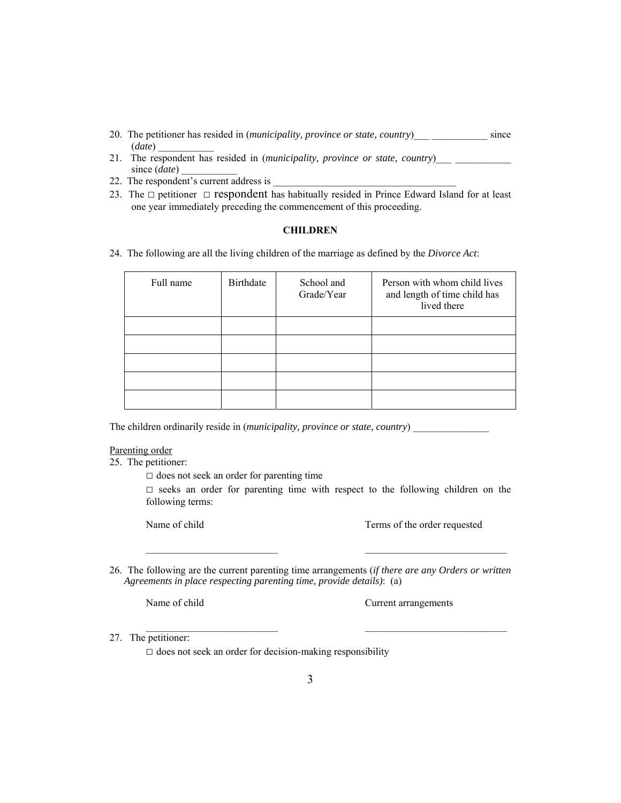- 20. The petitioner has resided in (*municipality, province or state, country*) since (*date*) \_\_\_\_\_\_\_\_\_\_\_
- 21. The respondent has resided in (municipality, province or state, country)\_\_\_ \_\_\_\_\_\_\_ since (*date*)
- 22. The respondent's current address is
- 23. The  $\Box$  petitioner  $\Box$  respondent has habitually resided in Prince Edward Island for at least one year immediately preceding the commencement of this proceeding.

## **CHILDREN**

24. The following are all the living children of the marriage as defined by the *Divorce Act*:

| Full name | Birthdate | School and<br>Grade/Year | Person with whom child lives<br>and length of time child has<br>lived there |
|-----------|-----------|--------------------------|-----------------------------------------------------------------------------|
|           |           |                          |                                                                             |
|           |           |                          |                                                                             |
|           |           |                          |                                                                             |
|           |           |                          |                                                                             |
|           |           |                          |                                                                             |

The children ordinarily reside in (*municipality, province or state, country*)

#### Parenting order

25. The petitioner:

 $\square$  does not seek an order for parenting time

□ seeks an order for parenting time with respect to the following children on the following terms:

 $\mathcal{L}_\text{max}$ 

\_\_\_\_\_\_\_\_\_\_\_\_\_\_\_\_\_\_\_\_\_\_\_\_\_\_ \_\_\_\_\_\_\_\_\_\_\_\_\_\_\_\_\_\_\_\_\_\_\_\_\_\_\_\_

Name of child Terms of the order requested

26. The following are the current parenting time arrangements (*if there are any Orders or written Agreements in place respecting parenting time, provide details)*: (a)

Name of child Current arrangements

27. The petitioner:

 $\square$  does not seek an order for decision-making responsibility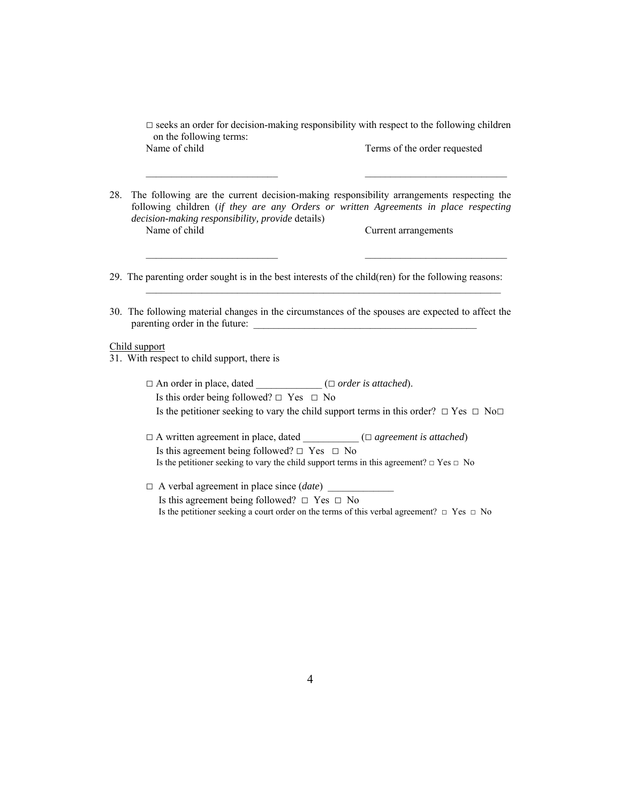$\square$  seeks an order for decision-making responsibility with respect to the following children on the following terms: Name of child Terms of the order requested

 $\mathcal{L}_\text{max}$ 

28. The following are the current decision-making responsibility arrangements respecting the following children (*if they are any Orders or written Agreements in place respecting decision-making responsibility, provide* details) Name of child Current arrangements

- 29. The parenting order sought is in the best interests of the child(ren) for the following reasons:
- 30. The following material changes in the circumstances of the spouses are expected to affect the parenting order in the future: \_\_\_\_\_\_\_\_\_\_\_\_\_\_\_\_\_\_\_\_\_\_\_\_\_\_\_\_\_\_\_\_\_\_\_\_\_\_\_\_\_\_\_\_

### Child support

31. With respect to child support, there is

- □ An order in place, dated \_\_\_\_\_\_\_\_\_\_\_\_\_ (□ *order is attached*). Is this order being followed?  $\Box$  Yes  $\Box$  No Is the petitioner seeking to vary the child support terms in this order?  $\Box$  Yes  $\Box$  No $\Box$
- □ A written agreement in place, dated \_\_\_\_\_\_\_\_\_\_\_ (□ *agreement is attached*) Is this agreement being followed? □ Yes □ No Is the petitioner seeking to vary the child support terms in this agreement?  $\Box$  Yes  $\Box$  No
- $\Box$  A verbal agreement in place since  $(date)$ Is this agreement being followed?  $\Box$  Yes  $\Box$  No Is the petitioner seeking a court order on the terms of this verbal agreement? □ Yes □ No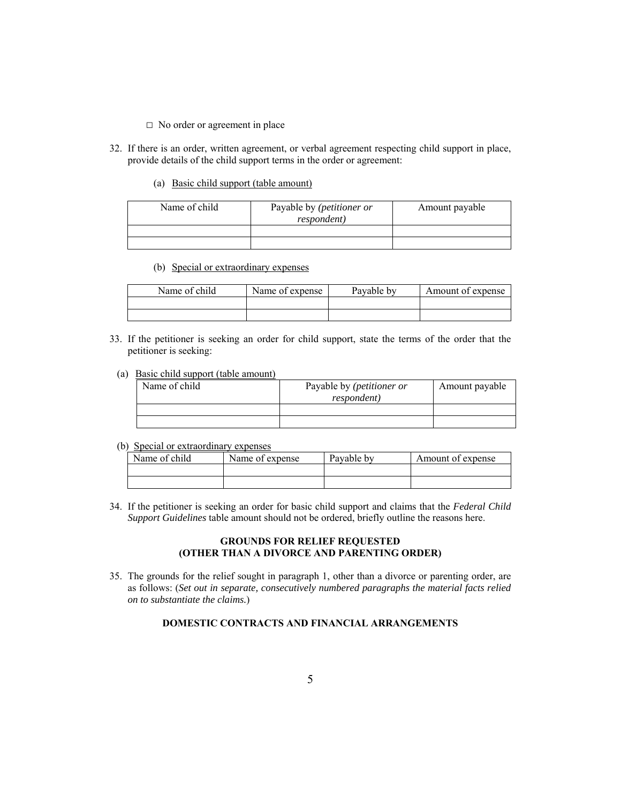- □ No order or agreement in place
- 32. If there is an order, written agreement, or verbal agreement respecting child support in place, provide details of the child support terms in the order or agreement:
	- (a) Basic child support (table amount)

| Name of child | Payable by ( <i>petitioner or</i><br><i>respondent</i> ) | Amount payable |
|---------------|----------------------------------------------------------|----------------|
|               |                                                          |                |
|               |                                                          |                |

(b) Special or extraordinary expenses

| Name of child | Name of expense | Pavable by | Amount of expense |
|---------------|-----------------|------------|-------------------|
|               |                 |            |                   |
|               |                 |            |                   |

- 33. If the petitioner is seeking an order for child support, state the terms of the order that the petitioner is seeking:
	- (a) Basic child support (table amount)

| Name of child | Payable by (petitioner or<br><i>respondent</i> ) | Amount payable |
|---------------|--------------------------------------------------|----------------|
|               |                                                  |                |
|               |                                                  |                |

(b) Special or extraordinary expenses

| Name of child | Name of expense | Pavable by | Amount of expense |
|---------------|-----------------|------------|-------------------|
|               |                 |            |                   |
|               |                 |            |                   |

34. If the petitioner is seeking an order for basic child support and claims that the *Federal Child Support Guidelines* table amount should not be ordered, briefly outline the reasons here.

# **GROUNDS FOR RELIEF REQUESTED (OTHER THAN A DIVORCE AND PARENTING ORDER)**

35. The grounds for the relief sought in paragraph 1, other than a divorce or parenting order, are as follows: (*Set out in separate, consecutively numbered paragraphs the material facts relied on to substantiate the claims.*)

# **DOMESTIC CONTRACTS AND FINANCIAL ARRANGEMENTS**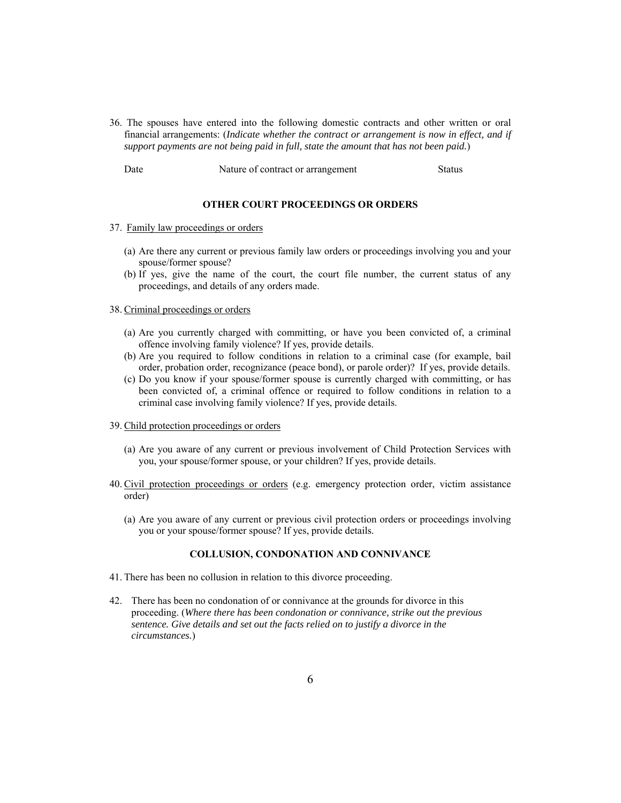36. The spouses have entered into the following domestic contracts and other written or oral financial arrangements: (*Indicate whether the contract or arrangement is now in effect, and if support payments are not being paid in full, state the amount that has not been paid.*)

| Date | Nature of contract or arrangement | <b>Status</b> |
|------|-----------------------------------|---------------|
|------|-----------------------------------|---------------|

#### **OTHER COURT PROCEEDINGS OR ORDERS**

## 37. Family law proceedings or orders

- (a) Are there any current or previous family law orders or proceedings involving you and your spouse/former spouse?
- (b) If yes, give the name of the court, the court file number, the current status of any proceedings, and details of any orders made.

#### 38. Criminal proceedings or orders

- (a) Are you currently charged with committing, or have you been convicted of, a criminal offence involving family violence? If yes, provide details.
- (b) Are you required to follow conditions in relation to a criminal case (for example, bail order, probation order, recognizance (peace bond), or parole order)? If yes, provide details.
- (c) Do you know if your spouse/former spouse is currently charged with committing, or has been convicted of, a criminal offence or required to follow conditions in relation to a criminal case involving family violence? If yes, provide details.

## 39. Child protection proceedings or orders

- (a) Are you aware of any current or previous involvement of Child Protection Services with you, your spouse/former spouse, or your children? If yes, provide details.
- 40. Civil protection proceedings or orders (e.g. emergency protection order, victim assistance order)
	- (a) Are you aware of any current or previous civil protection orders or proceedings involving you or your spouse/former spouse? If yes, provide details.

#### **COLLUSION, CONDONATION AND CONNIVANCE**

- 41. There has been no collusion in relation to this divorce proceeding.
- 42. There has been no condonation of or connivance at the grounds for divorce in this proceeding. (*Where there has been condonation or connivance, strike out the previous sentence. Give details and set out the facts relied on to justify a divorce in the circumstances.*)